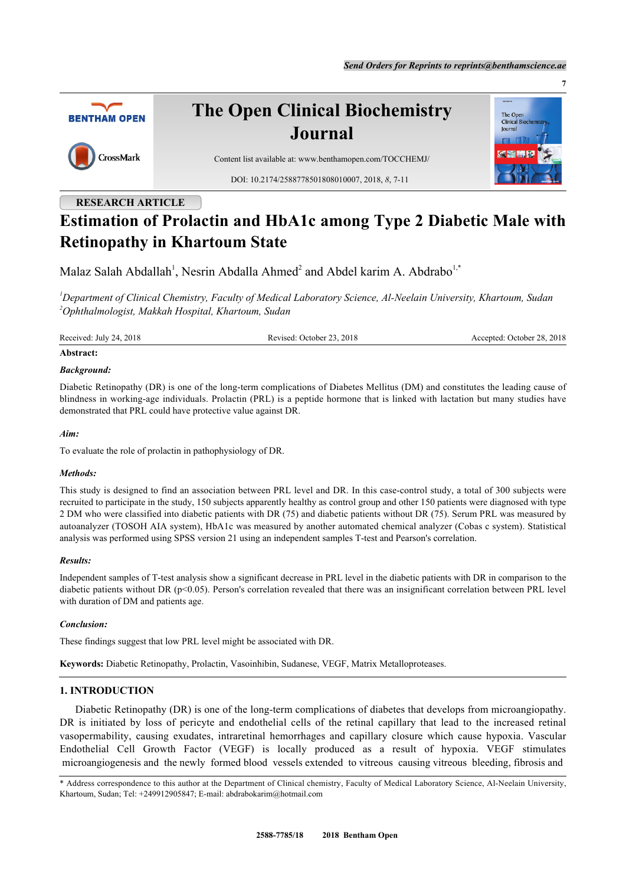

# **Estimation of Prolactin and HbA1c among Type 2 Diabetic Male with Retinopathy in Khartoum State**

Malaz Salah Abdallah<sup>[1](#page-0-0)</sup>, Nesrin Abdalla Ahmed<sup>[2](#page-0-1)</sup> and Abdel karim A. Abdrabo<sup>[1,](#page-0-0)[\\*](#page-0-2)</sup>

<span id="page-0-1"></span><span id="page-0-0"></span>*<sup>1</sup>Department of Clinical Chemistry, Faculty of Medical Laboratory Science, Al-Neelain University, Khartoum, Sudan <sup>2</sup>Ophthalmologist, Makkah Hospital, Khartoum, Sudan*

Received: July 24, 2018 Revised: October 23, 2018 Accepted: October 28, 2018

#### **Abstract:**

#### *Background:*

Diabetic Retinopathy (DR) is one of the long-term complications of Diabetes Mellitus (DM) and constitutes the leading cause of blindness in working-age individuals. Prolactin (PRL) is a peptide hormone that is linked with lactation but many studies have demonstrated that PRL could have protective value against DR.

## *Aim:*

To evaluate the role of prolactin in pathophysiology of DR.

#### *Methods:*

This study is designed to find an association between PRL level and DR. In this case-control study, a total of 300 subjects were recruited to participate in the study, 150 subjects apparently healthy as control group and other 150 patients were diagnosed with type 2 DM who were classified into diabetic patients with DR (75) and diabetic patients without DR (75). Serum PRL was measured by autoanalyzer (TOSOH AIA system), HbA1c was measured by another automated chemical analyzer (Cobas c system). Statistical analysis was performed using SPSS version 21 using an independent samples T-test and Pearson's correlation.

# *Results:*

Independent samples of T-test analysis show a significant decrease in PRL level in the diabetic patients with DR in comparison to the diabetic patients without DR (p<0.05). Person's correlation revealed that there was an insignificant correlation between PRL level with duration of DM and patients age.

# *Conclusion:*

These findings suggest that low PRL level might be associated with DR.

**Keywords:** Diabetic Retinopathy, Prolactin, Vasoinhibin, Sudanese, VEGF, Matrix Metalloproteases.

# **1. INTRODUCTION**

Diabetic Retinopathy (DR) is one of the long-term complications of diabetes that develops from microangiopathy. DR is initiated by loss of pericyte and endothelial cells of the retinal capillary that lead to the increased retinal vasopermability, causing exudates, intraretinal hemorrhages and capillary closure which cause hypoxia. Vascular Endothelial Cell Growth Factor (VEGF) is locally produced as a result of hypoxia. VEGF stimulates microangiogenesis and the newly formed blood vessels extended to vitreous causing vitreous bleeding, fibrosis and

<span id="page-0-2"></span><sup>\*</sup> Address correspondence to this author at the Department of Clinical chemistry, Faculty of Medical Laboratory Science, Al-Neelain University, Khartoum, Sudan; Tel: +249912905847; E-mail: [abdrabokarim@hotmail.com](mailto:abdrabokarim@hotmail.com)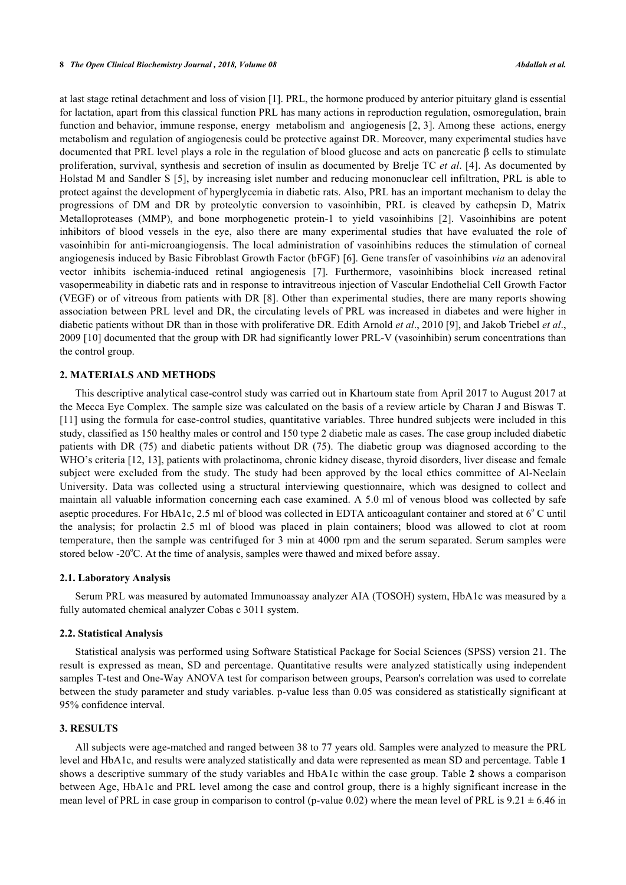#### **8** *The Open Clinical Biochemistry Journal , 2018, Volume 08 Abdallah et al.*

at last stage retinal detachment and loss of vision [[1\]](#page-4-0). PRL, the hormone produced by anterior pituitary gland is essential for lactation, apart from this classical function PRL has many actions in reproduction regulation, osmoregulation, brain function and behavior, immune response, energy metabolism and angiogenesis [\[2](#page-4-1), [3\]](#page-4-2). Among these actions, energy metabolism and regulation of angiogenesis could be protective against DR. Moreover, many experimental studies have documented that PRL level plays a role in the regulation of blood glucose and acts on pancreatic β cells to stimulate proliferation, survival, synthesis and secretion of insulin as documented by Brelje TC *et al*. [\[4](#page-4-3)]. As documented by Holstad M and Sandler S [[5\]](#page-4-4), by increasing islet number and reducing mononuclear cell infiltration, PRL is able to protect against the development of hyperglycemia in diabetic rats. Also, PRL has an important mechanism to delay the progressions of DM and DR by proteolytic conversion to vasoinhibin, PRL is cleaved by cathepsin D, Matrix Metalloproteases (MMP), and bone morphogenetic protein-1 to yield vasoinhibins[[2\]](#page-4-1). Vasoinhibins are potent inhibitors of blood vessels in the eye, also there are many experimental studies that have evaluated the role of vasoinhibin for anti-microangiogensis. The local administration of vasoinhibins reduces the stimulation of corneal angiogenesis induced by Basic Fibroblast Growth Factor (bFGF) [[6\]](#page-4-5). Gene transfer of vasoinhibins *via* an adenoviral vector inhibits ischemia-induced retinal angiogenesis [\[7](#page-4-6)]. Furthermore, vasoinhibins block increased retinal vasopermeability in diabetic rats and in response to intravitreous injection of Vascular Endothelial Cell Growth Factor (VEGF) or of vitreous from patients with DR [[8](#page-4-7)]. Other than experimental studies, there are many reports showing association between PRL level and DR, the circulating levels of PRL was increased in diabetes and were higher in diabetic patients without DR than in those with proliferative DR. Edith Arnold *et al*., 2010 [[9\]](#page-4-8), and Jakob Triebel *et al*., 2009 [[10](#page-4-9)] documented that the group with DR had significantly lower PRL-V (vasoinhibin) serum concentrations than the control group.

### **2. MATERIALS AND METHODS**

This descriptive analytical case-control study was carried out in Khartoum state from April 2017 to August 2017 at the Mecca Eye Complex. The sample size was calculated on the basis of a review article by Charan J and Biswas T. [\[11](#page-4-10)] using the formula for case-control studies, quantitative variables. Three hundred subjects were included in this study, classified as 150 healthy males or control and 150 type 2 diabetic male as cases. The case group included diabetic patients with DR (75) and diabetic patients without DR (75). The diabetic group was diagnosed according to the WHO's criteria [[12,](#page-4-11) [13](#page-4-12)], patients with prolactinoma, chronic kidney disease, thyroid disorders, liver disease and female subject were excluded from the study. The study had been approved by the local ethics committee of Al-Neelain University. Data was collected using a structural interviewing questionnaire, which was designed to collect and maintain all valuable information concerning each case examined. A 5.0 ml of venous blood was collected by safe aseptic procedures. For HbA1c, 2.5 ml of blood was collected in EDTA anticoagulant container and stored at 6°C until the analysis; for prolactin 2.5 ml of blood was placed in plain containers; blood was allowed to clot at room temperature, then the sample was centrifuged for 3 min at 4000 rpm and the serum separated. Serum samples were stored below -20 $^{\circ}$ C. At the time of analysis, samples were thawed and mixed before assay.

#### **2.1. Laboratory Analysis**

Serum PRL was measured by automated Immunoassay analyzer AIA (TOSOH) system, HbA1c was measured by a fully automated chemical analyzer Cobas c 3011 system.

#### **2.2. Statistical Analysis**

Statistical analysis was performed using Software Statistical Package for Social Sciences (SPSS) version 21. The result is expressed as mean, SD and percentage. Quantitative results were analyzed statistically using independent samples T-test and One-Way ANOVA test for comparison between groups, Pearson's correlation was used to correlate between the study parameter and study variables. p-value less than 0.05 was considered as statistically significant at 95% confidence interval.

## **3. RESULTS**

All subjects were age-matched and ranged between 38 to 77 years old. Samples were analyzed to measure the PRL level and HbA1c, and results were analyzed statistically and data were represented as mean SD and percentage. Table **[1](#page-2-0)** shows a descriptive summary of the study variables and HbA1c within the case group. Table **[2](#page-2-1)** shows a comparison between Age, HbA1c and PRL level among the case and control group, there is a highly significant increase in the mean level of PRL in case group in comparison to control (p-value 0.02) where the mean level of PRL is  $9.21 \pm 6.46$  in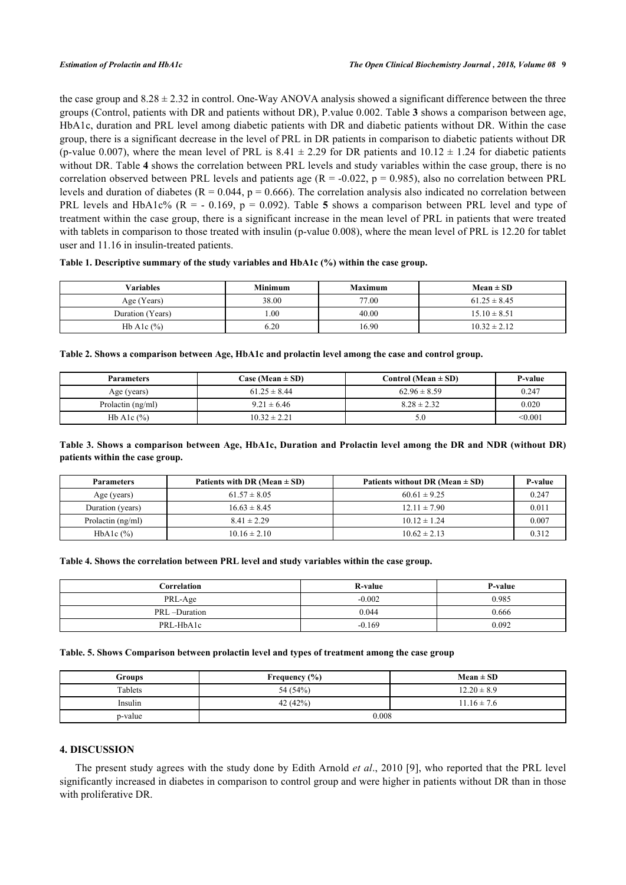the case group and  $8.28 \pm 2.32$  in control. One-Way ANOVA analysis showed a significant difference between the three groups (Control, patients with DR and patients without DR), P.value 0.002. Table **[3](#page-2-2)** shows a comparison between age, HbA1c, duration and PRL level among diabetic patients with DR and diabetic patients without DR. Within the case group, there is a significant decrease in the level of PRL in DR patients in comparison to diabetic patients without DR (p-value 0.007), where the mean level of PRL is 8.41  $\pm$  2.29 for DR patients and 10.12  $\pm$  1.24 for diabetic patients without DR. Table **[4](#page-2-3)** shows the correlation between PRL levels and study variables within the case group, there is no correlation observed between PRL levels and patients age  $(R = -0.022, p = 0.985)$ , also no correlation between PRL levels and duration of diabetes ( $R = 0.044$ ,  $p = 0.666$ ). The correlation analysis also indicated no correlation between PRL levels and HbA1c% (R = - 0.169, p = 0.092). Table**5** shows a comparison between PRL level and type of treatment within the case group, there is a significant increase in the mean level of PRL in patients that were treated with tablets in comparison to those treated with insulin (p-value 0.008), where the mean level of PRL is 12.20 for tablet user and 11.16 in insulin-treated patients.

## <span id="page-2-0"></span>**Table 1. Descriptive summary of the study variables and HbA1c (%) within the case group.**

| <b>Variables</b> | <b>Minimum</b> | <b>Maximum</b> | $Mean \pm SD$    |
|------------------|----------------|----------------|------------------|
| Age (Years)      | 38.00          | 77.00          | $61.25 \pm 8.45$ |
| Duration (Years) | $00$ .         | 40.00          | $15.10 \pm 8.51$ |
| Hb Alc $(\%)$    | 6.20           | 16.90          | $10.32 \pm 2.12$ |

<span id="page-2-1"></span>**Table 2. Shows a comparison between Age, HbA1c and prolactin level among the case and control group.**

| <b>Parameters</b> | Case (Mean $\pm$ SD) | Control (Mean $\pm$ SD) | <b>P-value</b> |
|-------------------|----------------------|-------------------------|----------------|
| Age (years)       | $61.25 \pm 8.44$     | $62.96 \pm 8.59$        | 0.247          |
| Prolactin (ng/ml) | $9.21 \pm 6.46$      | $8.28 \pm 2.32$         | 0.020          |
| Hb Alc $(\%)$     | $10.32 \pm 2.21$     | 5.0                     | < 0.001        |

## <span id="page-2-2"></span>**Table 3. Shows a comparison between Age, HbA1c, Duration and Prolactin level among the DR and NDR (without DR) patients within the case group.**

| <b>Parameters</b> | Patients with DR (Mean $\pm$ SD) | Patients without DR (Mean $\pm$ SD) | P-value |
|-------------------|----------------------------------|-------------------------------------|---------|
| Age (years)       | $61.57 \pm 8.05$                 | $60.61 \pm 9.25$                    | 0.247   |
| Duration (years)  | $16.63 \pm 8.45$                 | $12.11 \pm 7.90$                    | 0.011   |
| Prolactin (ng/ml) | $8.41 \pm 2.29$                  | $10.12 \pm 1.24$                    | 0.007   |
| HbAlc $(\%)$      | $10.16 \pm 2.10$                 | $10.62 \pm 2.13$                    | 0.312   |

#### <span id="page-2-3"></span>**Table 4. Shows the correlation between PRL level and study variables within the case group.**

| Correlation  | <b>R-value</b> | P-value |
|--------------|----------------|---------|
| PRL-Age      | $-0.002$       | 0.985   |
| PRL-Duration | 0.044          | 0.666   |
| PRL-HbA1c    | $-0.169$       | 0.092   |

#### <span id="page-2-4"></span>**Table. 5. Shows Comparison between prolactin level and types of treatment among the case group**

| Groups  | Frequency $(\% )$ | $Mean \pm SD$   |
|---------|-------------------|-----------------|
| Tablets | 54 (54%)          | $12.20 \pm 8.9$ |
| Insulin | 42 $(42%)$        | $11.16 \pm 7.6$ |
| p-value | 0.008             |                 |

#### **4. DISCUSSION**

The present study agrees with the study done by Edith Arnold *et al*., 2010 [[9\]](#page-4-8), who reported that the PRL level significantly increased in diabetes in comparison to control group and were higher in patients without DR than in those with proliferative DR.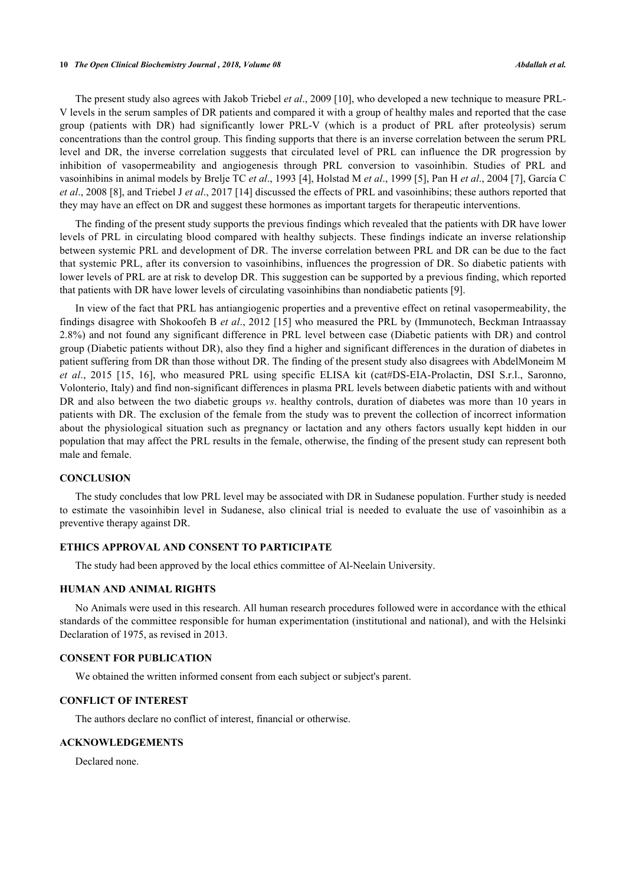#### **10** *The Open Clinical Biochemistry Journal , 2018, Volume 08 Abdallah et al.*

The present study also agrees with Jakob Triebel *et al*., 2009 [\[10](#page-4-9)], who developed a new technique to measure PRL-V levels in the serum samples of DR patients and compared it with a group of healthy males and reported that the case group (patients with DR) had significantly lower PRL-V (which is a product of PRL after proteolysis) serum concentrations than the control group. This finding supports that there is an inverse correlation between the serum PRL level and DR, the inverse correlation suggests that circulated level of PRL can influence the DR progression by inhibition of vasopermeability and angiogenesis through PRL conversion to vasoinhibin. Studies of PRL and vasoinhibins in animal models by Brelje TC *et al*., 1993 [[4\]](#page-4-3), Holstad M *et al*., 1999 [\[5](#page-4-4)], Pan H *et al*., 2004 [\[7](#page-4-6)], García C *et al*., 2008 [[8\]](#page-4-7), and Triebel J *et al*., 2017 [[14\]](#page-4-13) discussed the effects of PRL and vasoinhibins; these authors reported that they may have an effect on DR and suggest these hormones as important targets for therapeutic interventions.

The finding of the present study supports the previous findings which revealed that the patients with DR have lower levels of PRL in circulating blood compared with healthy subjects. These findings indicate an inverse relationship between systemic PRL and development of DR. The inverse correlation between PRL and DR can be due to the fact that systemic PRL, after its conversion to vasoinhibins, influences the progression of DR. So diabetic patients with lower levels of PRL are at risk to develop DR. This suggestion can be supported by a previous finding, which reported that patients with DR have lower levels of circulating vasoinhibins than nondiabetic patients [[9\]](#page-4-8).

In view of the fact that PRL has antiangiogenic properties and a preventive effect on retinal vasopermeability, the findings disagree with Shokoofeh B *et al*., 2012 [[15\]](#page-4-14) who measured the PRL by (Immunotech, Beckman Intraassay 2.8%) and not found any significant difference in PRL level between case (Diabetic patients with DR) and control group (Diabetic patients without DR), also they find a higher and significant differences in the duration of diabetes in patient suffering from DR than those without DR. The finding of the present study also disagrees with AbdelMoneim M *et al*., 2015[[15,](#page-4-14) [16](#page-4-15)], who measured PRL using specific ELISA kit (cat#DS-EIA-Prolactin, DSI S.r.l., Saronno, Volonterio, Italy) and find non-significant differences in plasma PRL levels between diabetic patients with and without DR and also between the two diabetic groups *vs*. healthy controls, duration of diabetes was more than 10 years in patients with DR. The exclusion of the female from the study was to prevent the collection of incorrect information about the physiological situation such as pregnancy or lactation and any others factors usually kept hidden in our population that may affect the PRL results in the female, otherwise, the finding of the present study can represent both male and female.

## **CONCLUSION**

The study concludes that low PRL level may be associated with DR in Sudanese population. Further study is needed to estimate the vasoinhibin level in Sudanese, also clinical trial is needed to evaluate the use of vasoinhibin as a preventive therapy against DR.

# **ETHICS APPROVAL AND CONSENT TO PARTICIPATE**

The study had been approved by the local ethics committee of Al-Neelain University.

#### **HUMAN AND ANIMAL RIGHTS**

No Animals were used in this research. All human research procedures followed were in accordance with the ethical standards of the committee responsible for human experimentation (institutional and national), and with the Helsinki Declaration of 1975, as revised in 2013.

#### **CONSENT FOR PUBLICATION**

We obtained the written informed consent from each subject or subject's parent.

### **CONFLICT OF INTEREST**

The authors declare no conflict of interest, financial or otherwise.

#### **ACKNOWLEDGEMENTS**

Declared none.